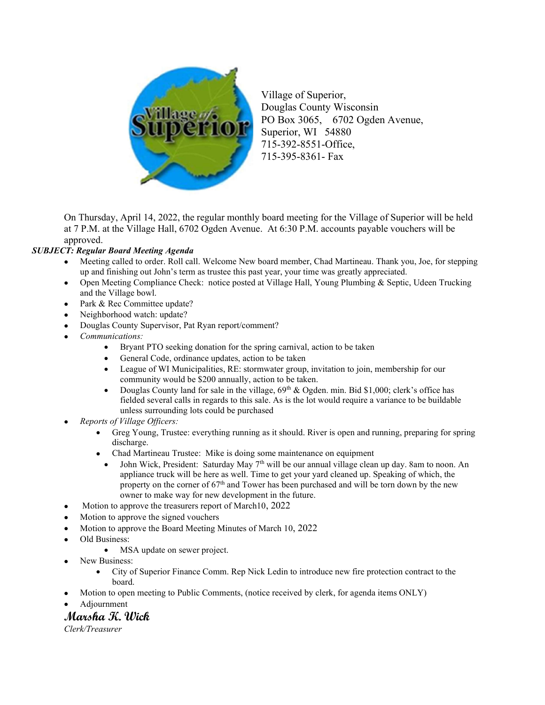

Village of Superior, Douglas County Wisconsin PO Box 3065, 6702 Ogden Avenue, Superior, WI 54880 715-392-8551-Office, 715-395-8361- Fax

On Thursday, April 14, 2022, the regular monthly board meeting for the Village of Superior will be held at 7 P.M. at the Village Hall, 6702 Ogden Avenue. At 6:30 P.M. accounts payable vouchers will be approved.

## SUBJECT: Regular Board Meeting Agenda

- Meeting called to order. Roll call. Welcome New board member, Chad Martineau. Thank you, Joe, for stepping up and finishing out John's term as trustee this past year, your time was greatly appreciated.
- Open Meeting Compliance Check: notice posted at Village Hall, Young Plumbing & Septic, Udeen Trucking and the Village bowl.
- Park & Rec Committee update?
- Neighborhood watch: update?
- Douglas County Supervisor, Pat Ryan report/comment?
- Communications:
	- Bryant PTO seeking donation for the spring carnival, action to be taken
	- General Code, ordinance updates, action to be taken
	- League of WI Municipalities, RE: stormwater group, invitation to join, membership for our community would be \$200 annually, action to be taken.
	- Douglas County land for sale in the village,  $69<sup>th</sup>$  & Ogden. min. Bid \$1,000; clerk's office has fielded several calls in regards to this sale. As is the lot would require a variance to be buildable unless surrounding lots could be purchased
- Reports of Village Officers:
	- Greg Young, Trustee: everything running as it should. River is open and running, preparing for spring discharge.
	- Chad Martineau Trustee: Mike is doing some maintenance on equipment
		- John Wick, President: Saturday May 7<sup>th</sup> will be our annual village clean up day. 8am to noon. An appliance truck will be here as well. Time to get your yard cleaned up. Speaking of which, the property on the corner of 67<sup>th</sup> and Tower has been purchased and will be torn down by the new owner to make way for new development in the future.
- Motion to approve the treasurers report of March10, 2022
- Motion to approve the signed vouchers
- Motion to approve the Board Meeting Minutes of March 10, 2022
- Old Business:
	- MSA update on sewer project.
- New Business:
	- City of Superior Finance Comm. Rep Nick Ledin to introduce new fire protection contract to the board.
- Motion to open meeting to Public Comments, (notice received by clerk, for agenda items ONLY)
- Adjournment

## Marsha K. Wick

Clerk/Treasurer